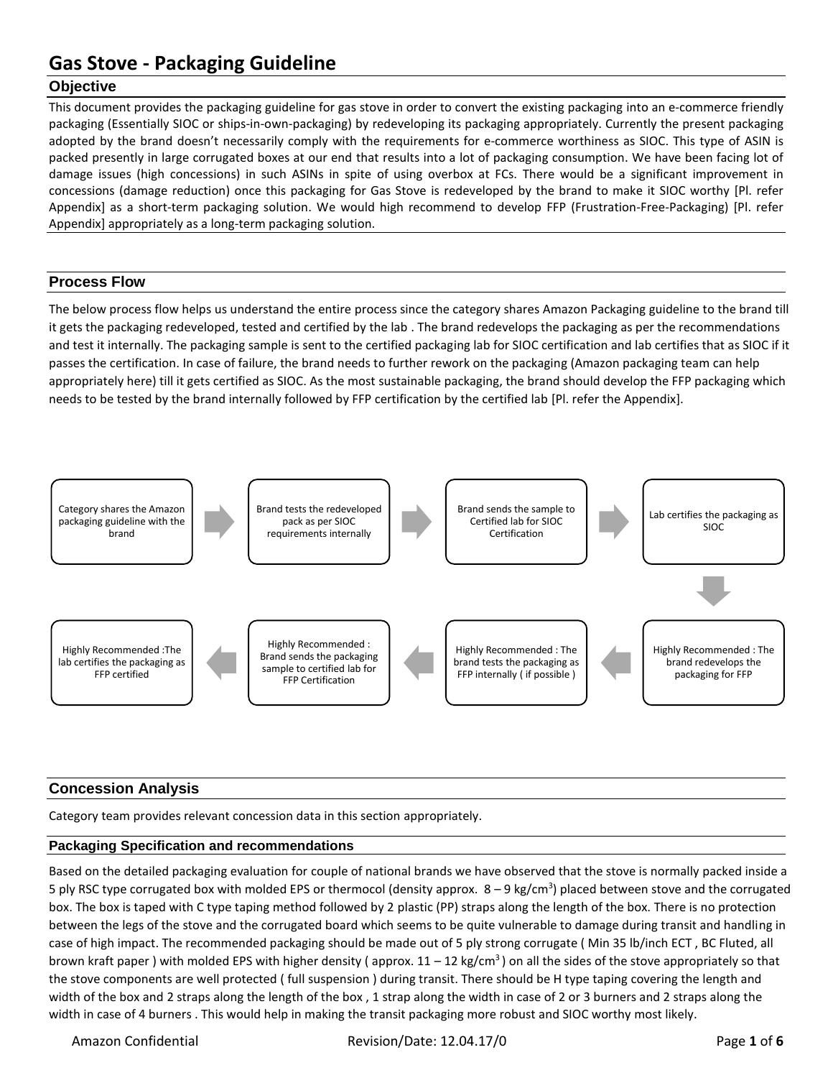## **Objective**

This document provides the packaging guideline for gas stove in order to convert the existing packaging into an e-commerce friendly packaging (Essentially SIOC or ships-in-own-packaging) by redeveloping its packaging appropriately. Currently the present packaging adopted by the brand doesn't necessarily comply with the requirements for e-commerce worthiness as SIOC. This type of ASIN is packed presently in large corrugated boxes at our end that results into a lot of packaging consumption. We have been facing lot of damage issues (high concessions) in such ASINs in spite of using overbox at FCs. There would be a significant improvement in concessions (damage reduction) once this packaging for Gas Stove is redeveloped by the brand to make it SIOC worthy [Pl. refer Appendix] as a short-term packaging solution. We would high recommend to develop FFP (Frustration-Free-Packaging) [Pl. refer Appendix] appropriately as a long-term packaging solution.

## **Process Flow**

The below process flow helps us understand the entire process since the category shares Amazon Packaging guideline to the brand till it gets the packaging redeveloped, tested and certified by the lab . The brand redevelops the packaging as per the recommendations and test it internally. The packaging sample is sent to the certified packaging lab for SIOC certification and lab certifies that as SIOC if it passes the certification. In case of failure, the brand needs to further rework on the packaging (Amazon packaging team can help appropriately here) till it gets certified as SIOC. As the most sustainable packaging, the brand should develop the FFP packaging which needs to be tested by the brand internally followed by FFP certification by the certified lab [Pl. refer the Appendix].



## **Concession Analysis**

Category team provides relevant concession data in this section appropriately.

## **Packaging Specification and recommendations**

Based on the detailed packaging evaluation for couple of national brands we have observed that the stove is normally packed inside a 5 ply RSC type corrugated box with molded EPS or thermocol (density approx. 8 – 9 kg/cm<sup>3</sup>) placed between stove and the corrugated box. The box is taped with C type taping method followed by 2 plastic (PP) straps along the length of the box. There is no protection between the legs of the stove and the corrugated board which seems to be quite vulnerable to damage during transit and handling in case of high impact. The recommended packaging should be made out of 5 ply strong corrugate ( Min 35 lb/inch ECT , BC Fluted, all brown kraft paper ) with molded EPS with higher density (approx.  $11 - 12$  kg/cm<sup>3</sup>) on all the sides of the stove appropriately so that the stove components are well protected ( full suspension ) during transit. There should be H type taping covering the length and width of the box and 2 straps along the length of the box , 1 strap along the width in case of 2 or 3 burners and 2 straps along the width in case of 4 burners . This would help in making the transit packaging more robust and SIOC worthy most likely.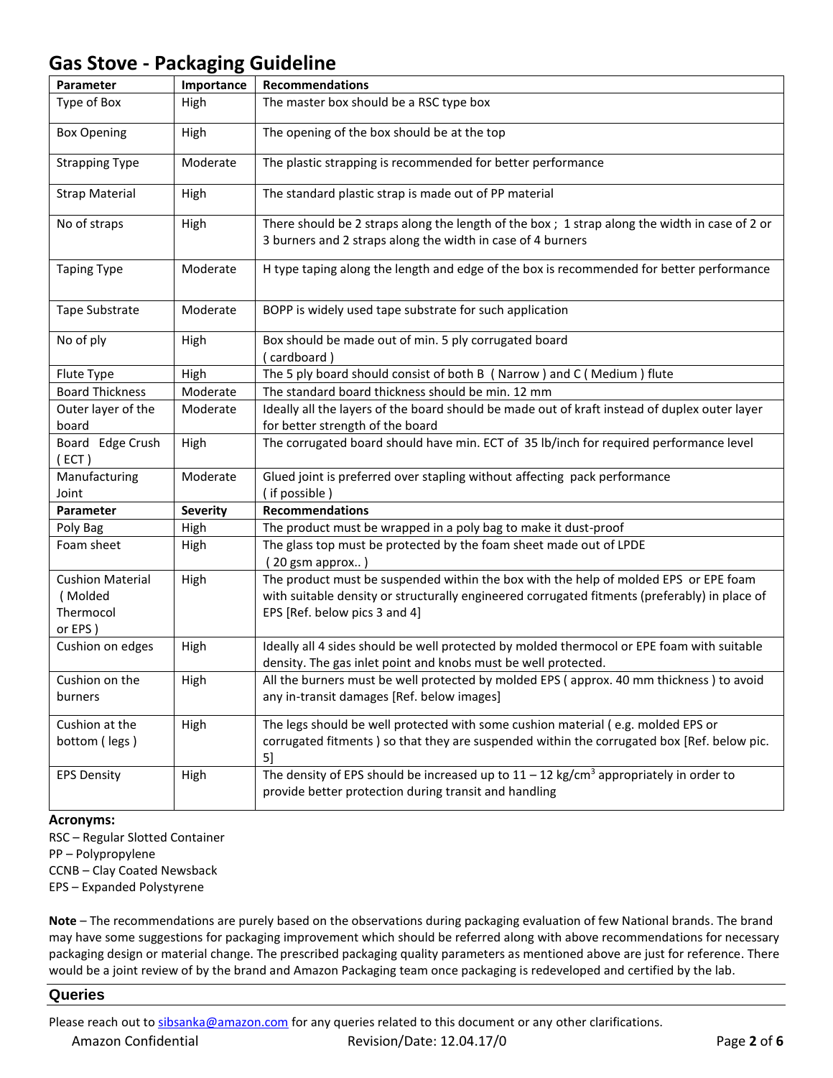| Parameter                                                  | Importance      | <b>Recommendations</b>                                                                                                                                                                                                 |  |
|------------------------------------------------------------|-----------------|------------------------------------------------------------------------------------------------------------------------------------------------------------------------------------------------------------------------|--|
| Type of Box                                                | High            | The master box should be a RSC type box                                                                                                                                                                                |  |
| <b>Box Opening</b>                                         | High            | The opening of the box should be at the top                                                                                                                                                                            |  |
| <b>Strapping Type</b>                                      | Moderate        | The plastic strapping is recommended for better performance                                                                                                                                                            |  |
| <b>Strap Material</b>                                      | High            | The standard plastic strap is made out of PP material                                                                                                                                                                  |  |
| No of straps                                               | High            | There should be 2 straps along the length of the box; 1 strap along the width in case of 2 or<br>3 burners and 2 straps along the width in case of 4 burners                                                           |  |
| <b>Taping Type</b>                                         | Moderate        | H type taping along the length and edge of the box is recommended for better performance                                                                                                                               |  |
| Tape Substrate                                             | Moderate        | BOPP is widely used tape substrate for such application                                                                                                                                                                |  |
| No of ply                                                  | High            | Box should be made out of min. 5 ply corrugated board<br>(cardboard)                                                                                                                                                   |  |
| Flute Type                                                 | High            | The 5 ply board should consist of both B (Narrow) and C (Medium) flute                                                                                                                                                 |  |
| <b>Board Thickness</b>                                     | Moderate        | The standard board thickness should be min. 12 mm                                                                                                                                                                      |  |
| Outer layer of the<br>board                                | Moderate        | Ideally all the layers of the board should be made out of kraft instead of duplex outer layer<br>for better strength of the board                                                                                      |  |
| Board Edge Crush<br>(ECT)                                  | High            | The corrugated board should have min. ECT of 35 lb/inch for required performance level                                                                                                                                 |  |
| Manufacturing<br>Joint                                     | Moderate        | Glued joint is preferred over stapling without affecting pack performance<br>(if possible)                                                                                                                             |  |
| Parameter                                                  | <b>Severity</b> | <b>Recommendations</b>                                                                                                                                                                                                 |  |
| Poly Bag                                                   | High            | The product must be wrapped in a poly bag to make it dust-proof                                                                                                                                                        |  |
| Foam sheet                                                 | High            | The glass top must be protected by the foam sheet made out of LPDE<br>(20 gsm approx)                                                                                                                                  |  |
| <b>Cushion Material</b><br>(Molded<br>Thermocol<br>or EPS) | High            | The product must be suspended within the box with the help of molded EPS or EPE foam<br>with suitable density or structurally engineered corrugated fitments (preferably) in place of<br>EPS [Ref. below pics 3 and 4] |  |
| Cushion on edges                                           | High            | Ideally all 4 sides should be well protected by molded thermocol or EPE foam with suitable<br>density. The gas inlet point and knobs must be well protected.                                                           |  |
| Cushion on the<br>burners                                  | High            | All the burners must be well protected by molded EPS (approx. 40 mm thickness) to avoid<br>any in-transit damages [Ref. below images]                                                                                  |  |
| Cushion at the<br>bottom (legs)                            | High            | The legs should be well protected with some cushion material (e.g. molded EPS or<br>corrugated fitments) so that they are suspended within the corrugated box [Ref. below pic.<br>5]                                   |  |
| <b>EPS Density</b>                                         | High            | The density of EPS should be increased up to $11 - 12$ kg/cm <sup>3</sup> appropriately in order to<br>provide better protection during transit and handling                                                           |  |

### **Acronyms:**

RSC – Regular Slotted Container PP – Polypropylene CCNB – Clay Coated Newsback EPS – Expanded Polystyrene

**Note** – The recommendations are purely based on the observations during packaging evaluation of few National brands. The brand may have some suggestions for packaging improvement which should be referred along with above recommendations for necessary packaging design or material change. The prescribed packaging quality parameters as mentioned above are just for reference. There would be a joint review of by the brand and Amazon Packaging team once packaging is redeveloped and certified by the lab.

### **Queries**

Please reach out t[o sibsanka@amazon.com](mailto:sibsanka@amazon.com) for any queries related to this document or any other clarifications.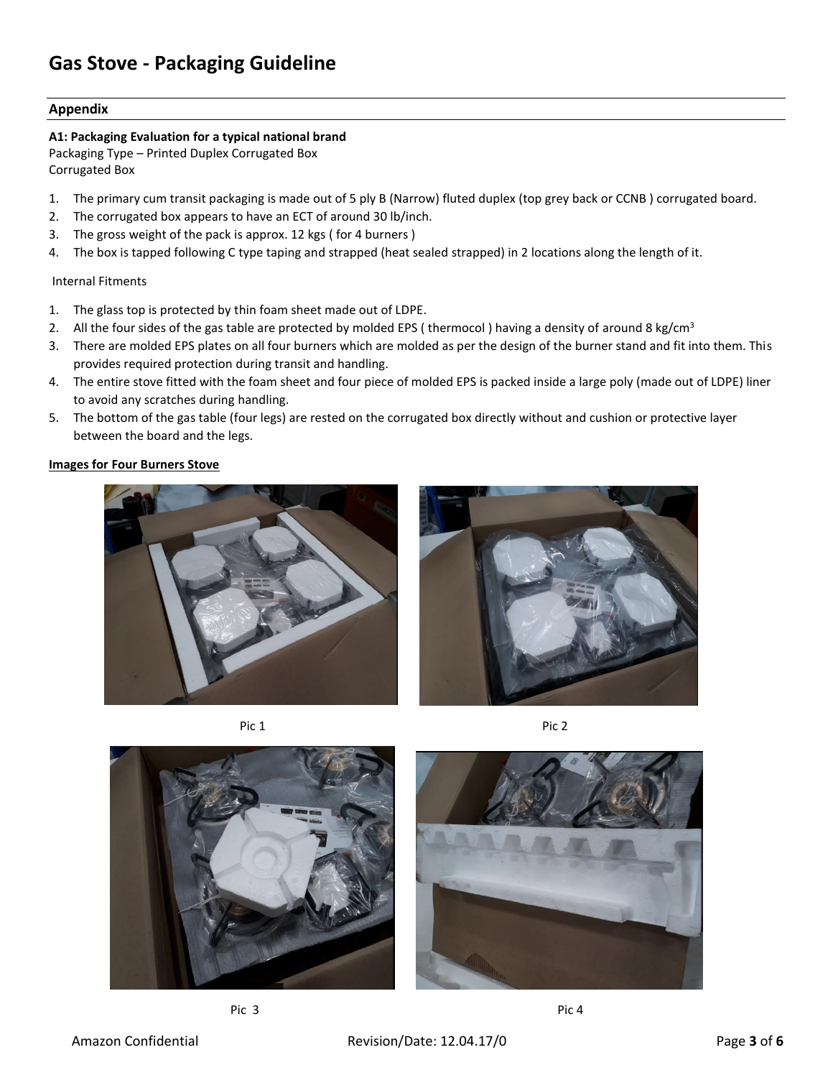### **Appendix**

### **A1: Packaging Evaluation for a typical national brand**

Packaging Type – Printed Duplex Corrugated Box Corrugated Box

- 1. The primary cum transit packaging is made out of 5 ply B (Narrow) fluted duplex (top grey back or CCNB ) corrugated board.
- 2. The corrugated box appears to have an ECT of around 30 lb/inch.
- 3. The gross weight of the pack is approx. 12 kgs ( for 4 burners )
- 4. The box is tapped following C type taping and strapped (heat sealed strapped) in 2 locations along the length of it.

### Internal Fitments

- 1. The glass top is protected by thin foam sheet made out of LDPE.
- 2. All the four sides of the gas table are protected by molded EPS (thermocol) having a density of around 8 kg/cm<sup>3</sup>
- 3. There are molded EPS plates on all four burners which are molded as per the design of the burner stand and fit into them. This provides required protection during transit and handling.
- 4. The entire stove fitted with the foam sheet and four piece of molded EPS is packed inside a large poly (made out of LDPE) liner to avoid any scratches during handling.
- 5. The bottom of the gas table (four legs) are rested on the corrugated box directly without and cushion or protective layer between the board and the legs.

### **Images for Four Burners Stove**









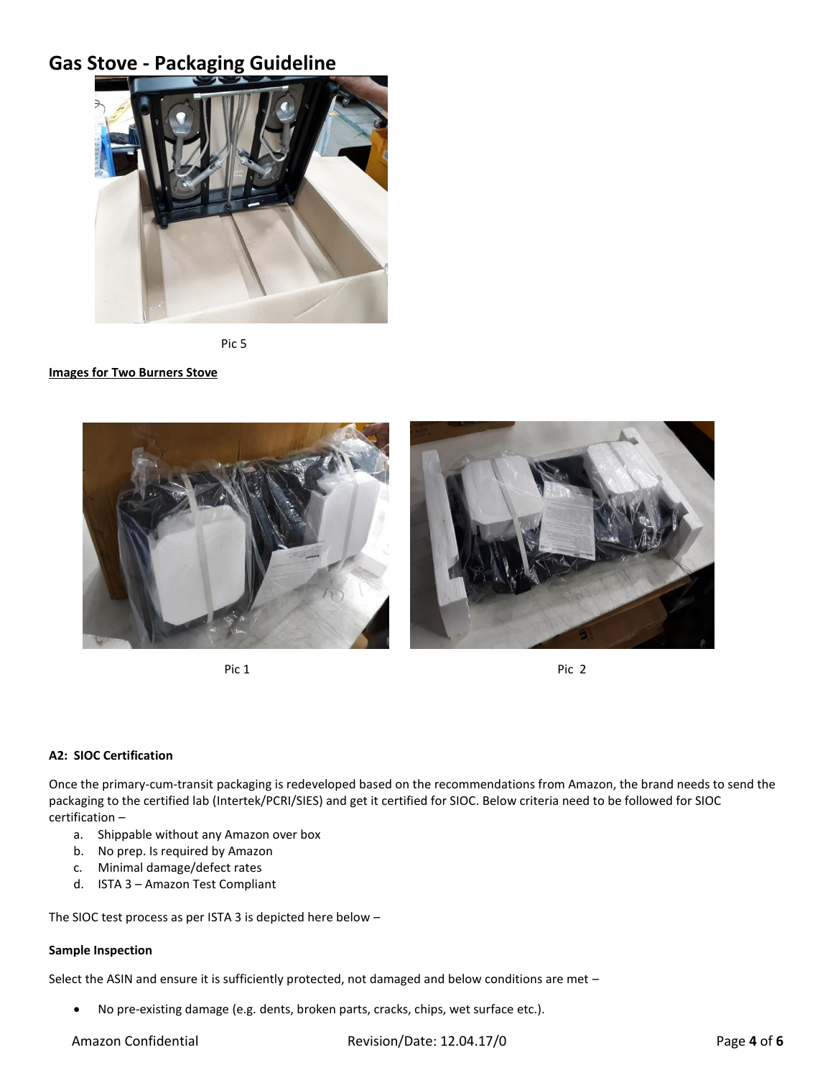

Pic 5

#### **Images for Two Burners Stove**



Pic 1 Pic 1 Pic 2 Pic 2 Pic 2 Pic 2 Pic 2 Pic 2 Pic 2 Pic 2 Pic 2 Pic 2 Pic 2 Pic 2 Pic 2 Pic 2 Pic 2 Pic 2 Pic 2 Pic 2 Pic 2 Pic 2 Pic 2 Pic 2 Pic 2 Pic 2 Pic 2 Pic 2 Pic 2 Pic 2 Pic 2 Pic 2 Pic 2 Pic 2 Pic 2 Pic 2 Pic 2



### **A2: SIOC Certification**

Once the primary-cum-transit packaging is redeveloped based on the recommendations from Amazon, the brand needs to send the packaging to the certified lab (Intertek/PCRI/SIES) and get it certified for SIOC. Below criteria need to be followed for SIOC certification –

- a. Shippable without any Amazon over box
- b. No prep. Is required by Amazon
- c. Minimal damage/defect rates
- d. ISTA 3 Amazon Test Compliant

The SIOC test process as per ISTA 3 is depicted here below –

### **Sample Inspection**

Select the ASIN and ensure it is sufficiently protected, not damaged and below conditions are met –

No pre-existing damage (e.g. dents, broken parts, cracks, chips, wet surface etc.).

Amazon Confidential **Revision/Date: 12.04.17/0** Page 4 of 6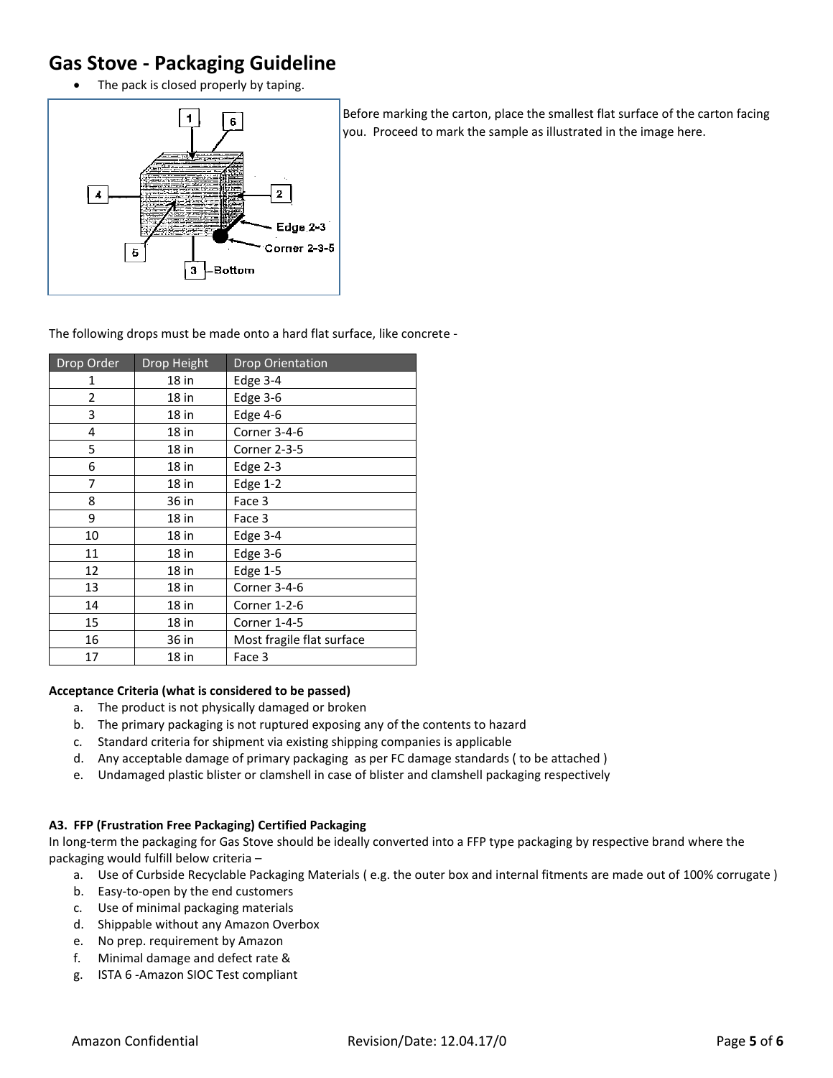• The pack is closed properly by taping.



Before marking the carton, place the smallest flat surface of the carton facing you. Proceed to mark the sample as illustrated in the image here.

The following drops must be made onto a hard flat surface, like concrete -

| Drop Order | Drop Height | <b>Drop Orientation</b>   |
|------------|-------------|---------------------------|
| 1          | 18 in       | Edge 3-4                  |
| 2          | 18 in       | Edge 3-6                  |
| 3          | $18$ in     | Edge 4-6                  |
| 4          | 18 in       | Corner 3-4-6              |
| 5          | 18 in       | Corner 2-3-5              |
| 6          | 18 in       | Edge $2-3$                |
| 7          | 18 in       | Edge $1-2$                |
| 8          | 36 in       | Face 3                    |
| 9          | 18 in       | Face 3                    |
| 10         | 18 in       | Edge 3-4                  |
| 11         | 18 in       | Edge $3-6$                |
| 12         | 18 in       | Edge $1-5$                |
| 13         | 18 in       | Corner 3-4-6              |
| 14         | 18 in       | Corner 1-2-6              |
| 15         | 18 in       | Corner 1-4-5              |
| 16         | 36 in       | Most fragile flat surface |
| 17         | 18 in       | Face 3                    |

### **Acceptance Criteria (what is considered to be passed)**

- a. The product is not physically damaged or broken
- b. The primary packaging is not ruptured exposing any of the contents to hazard
- c. Standard criteria for shipment via existing shipping companies is applicable
- d. Any acceptable damage of primary packaging as per FC damage standards ( to be attached )
- e. Undamaged plastic blister or clamshell in case of blister and clamshell packaging respectively

## **A3. FFP (Frustration Free Packaging) Certified Packaging**

In long-term the packaging for Gas Stove should be ideally converted into a FFP type packaging by respective brand where the packaging would fulfill below criteria –

- a. Use of Curbside Recyclable Packaging Materials ( e.g. the outer box and internal fitments are made out of 100% corrugate )
- b. Easy-to-open by the end customers
- c. Use of minimal packaging materials
- d. Shippable without any Amazon Overbox
- e. No prep. requirement by Amazon
- f. Minimal damage and defect rate &
- g. ISTA 6 -Amazon SIOC Test compliant